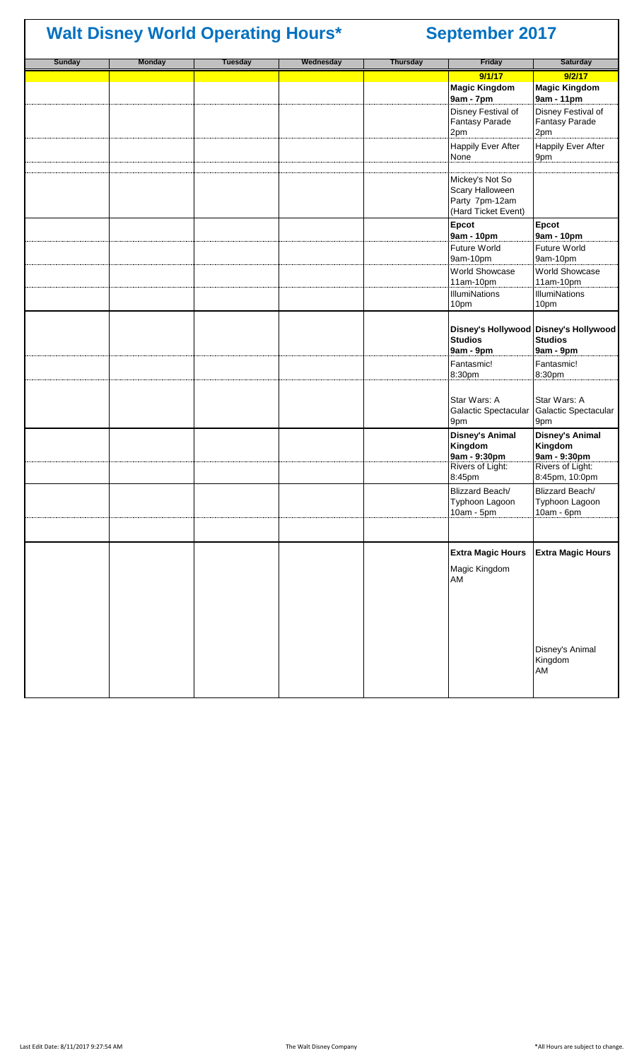## **Sunday Monday Tuesday Wednesday Thursday Friday Saturday 9/1/17 9/2/17 Magic Kingdom 9am - 7pm Magic Kingdom 9am - 11pm** Disney Festival of Fantasy Parade 2pm Disney Festival of Fantasy Parade 2pm Happily Ever After None Happily Ever After 9pm Mickey's Not So Scary Halloween Party 7pm-12am (Hard Ticket Event) **Epcot 9am - 10pm Epcot 9am - 10pm** Future World 9am-10pm Future World 9am-10pm World Showcase 11am-10pm World Showcase 11am-10pm **IllumiNations** 10pm **IllumiNations** 10pm **Disney's Hollywood Disney's Hollywood Studios 9am - 9pm Studios 9am - 9pm** Fantasmic! 8:30pm Fantasmic! 8:30pm Star Wars: A Galactic Spectacular 9pm Star Wars: A Galactic Spectacular 9pm **Disney's Animal Kingdom 9am - 9:30pm Disney's Animal Kingdom 9am - 9:30pm** Rivers of Light: 8:45pm Rivers of Light: 8:45pm, 10:0pm Blizzard Beach/ Typhoon Lagoon 10am - 5pm Blizzard Beach/ Typhoon Lagoon 10am - 6pm **Extra Magic Hours Extra Magic Hours** Magic Kingdom AM Disney's Animal Kingdom AM **Walt Disney World Operating Hours\* September 2017**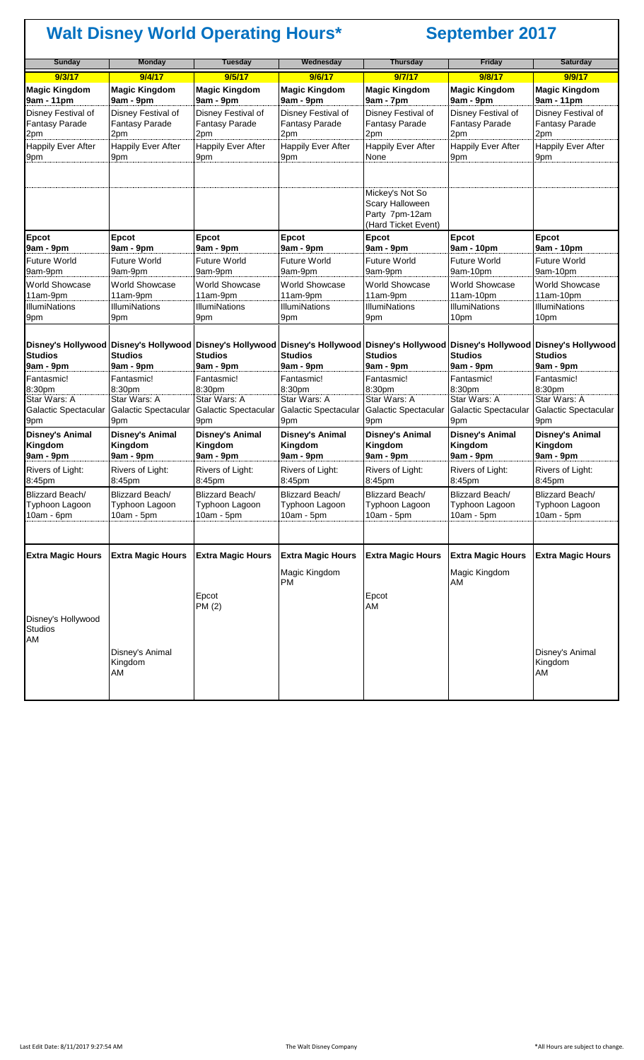| <b>Sunday</b>                                          | <b>Monday</b>                                   | <b>Tuesday</b>                                     | Wednesday                                       | <b>Thursday</b>                                                                                                                                                                        | <b>Friday</b>                                      | <b>Saturday</b>                                    |
|--------------------------------------------------------|-------------------------------------------------|----------------------------------------------------|-------------------------------------------------|----------------------------------------------------------------------------------------------------------------------------------------------------------------------------------------|----------------------------------------------------|----------------------------------------------------|
| 9/3/17                                                 | 9/4/17                                          | 9/5/17                                             | 9/6/17                                          | 9/7/17                                                                                                                                                                                 | 9/8/17                                             | 9/9/17                                             |
| <b>Magic Kingdom</b><br>9am - 11pm                     | <b>Magic Kingdom</b><br>9am - 9pm               | <b>Magic Kingdom</b><br>9am - 9pm                  | <b>Magic Kingdom</b><br>9am - 9pm               | <b>Magic Kingdom</b><br>9am - 7pm                                                                                                                                                      | <b>Magic Kingdom</b><br>9am - 9pm                  | <b>Magic Kingdom</b><br>9am - 11pm                 |
| Disney Festival of<br><b>Fantasy Parade</b><br>2pm     | Disney Festival of<br>Fantasy Parade<br>2pm     | Disney Festival of<br><b>Fantasy Parade</b><br>2pm | Disney Festival of<br>Fantasy Parade<br>2pm     | Disney Festival of<br><b>Fantasy Parade</b><br>2pm                                                                                                                                     | Disney Festival of<br><b>Fantasy Parade</b><br>2pm | Disney Festival of<br><b>Fantasy Parade</b><br>2pm |
| <b>Happily Ever After</b><br>9pm                       | <b>Happily Ever After</b><br>9pm                | <b>Happily Ever After</b><br>9pm                   | <b>Happily Ever After</b><br>9pm                | <b>Happily Ever After</b><br>None                                                                                                                                                      | <b>Happily Ever After</b><br>9pm                   | <b>Happily Ever After</b><br>9pm                   |
|                                                        |                                                 |                                                    |                                                 | Mickey's Not So<br>Scary Halloween<br>Party 7pm-12am<br>(Hard Ticket Event)                                                                                                            |                                                    |                                                    |
| <b>Epcot</b>                                           | Epcot                                           | Epcot                                              | Epcot                                           | <b>Epcot</b>                                                                                                                                                                           | Epcot                                              | Epcot                                              |
| 9am - 9pm<br><b>Future World</b>                       | 9am - 9pm<br><b>Future World</b>                | 9am - 9pm<br><b>Future World</b>                   | 9am - 9pm<br><b>Future World</b>                | 9am - 9pm<br>Future World                                                                                                                                                              | 9am - 10pm<br><b>Future World</b>                  | 9am - 10pm<br>Future World                         |
| 9am-9pm                                                | 9am-9pm                                         | 9am-9pm                                            | 9am-9pm                                         | 9am-9pm                                                                                                                                                                                | 9am-10pm                                           | 9am-10pm                                           |
| <b>World Showcase</b><br>11am-9pm                      | <b>World Showcase</b><br>11am-9pm               | <b>World Showcase</b><br>11am-9pm                  | <b>World Showcase</b><br>11am-9pm               | <b>World Showcase</b><br>11am-9pm                                                                                                                                                      | World Showcase<br>$11am-10pm$                      | <b>World Showcase</b><br>11am-10pm                 |
| <b>IllumiNations</b><br>9pm                            | <b>IllumiNations</b><br>9pm                     | <b>IllumiNations</b><br>9pm                        | <b>IllumiNations</b><br>9pm                     | <b>IllumiNations</b><br>9pm                                                                                                                                                            | <b>IllumiNations</b><br>10pm                       | <b>IllumiNations</b><br>10pm                       |
| <b>Studios</b><br>9am - 9pm                            | <b>Studios</b><br>9am - 9pm                     | <b>Studios</b><br>9am - 9pm                        | <b>Studios</b><br>9am - 9pm                     | Disney's Hollywood Disney's Hollywood Disney's Hollywood Disney's Hollywood Disney's Hollywood Disney's Hollywood Disney's Hollywood Disney's Hollywood<br><b>Studios</b><br>9am - 9pm | <b>Studios</b><br>9am - 9pm                        | <b>Studios</b><br>9am - 9pm                        |
| Fantasmic!                                             | Fantasmic!                                      | Fantasmic!                                         | Fantasmic!                                      | Fantasmic!                                                                                                                                                                             | Fantasmic!                                         | Fantasmic!                                         |
| 8:30pm<br>Star Wars: A                                 | 8:30pm<br>Star Wars: A                          | 8:30pm<br>Star Wars: A                             | 8:30pm<br>Star Wars: A                          | 8:30pm<br>Star Wars: A                                                                                                                                                                 | 8:30pm<br>Star Wars: A                             | 8:30pm<br>Star Wars: A                             |
| Galactic Spectacular<br>9pm                            | Galactic Spectacular<br>9pm                     | Galactic Spectacular<br>9pm                        | Galactic Spectacular<br>9pm                     | Galactic Spectacular<br>9pm                                                                                                                                                            | Galactic Spectacular<br>9pm                        | Galactic Spectacular<br>9pm                        |
| <b>Disney's Animal</b><br>Kingdom<br>9am - 9pm         | <b>Disney's Animal</b><br>Kingdom<br>9am - 9pm  | <b>Disney's Animal</b><br>Kingdom<br>9am - 9pm     | <b>Disney's Animal</b><br>Kingdom<br>9am - 9pm  | <b>Disney's Animal</b><br>Kingdom<br>9am - 9pm                                                                                                                                         | <b>Disney's Animal</b><br>Kingdom<br>9am - 9pm     | <b>Disney's Animal</b><br>Kingdom<br>9am - 9pm     |
| Rivers of Light:<br>8:45pm                             | Rivers of Light:<br>8:45pm                      | Rivers of Light:<br>8:45pm                         | Rivers of Light:<br>8:45pm                      | Rivers of Light:<br>8:45pm                                                                                                                                                             | Rivers of Light:<br>8:45pm                         | Rivers of Light:<br>8:45pm                         |
| <b>Blizzard Beach/</b><br>Typhoon Lagoon<br>10am - 6pm | Blizzard Beach/<br>Typhoon Lagoon<br>10am - 5pm | Blizzard Beach/<br>Typhoon Lagoon<br>10am - 5pm    | Blizzard Beach/<br>Typhoon Lagoon<br>10am - 5pm | Blizzard Beach/<br>Typhoon Lagoon<br>10am - 5pm                                                                                                                                        | Blizzard Beach/<br>Typhoon Lagoon<br>$10am - 5pm$  | Blizzard Beach/<br>Typhoon Lagoon<br>10am - 5pm    |
|                                                        |                                                 |                                                    |                                                 |                                                                                                                                                                                        |                                                    |                                                    |
| <b>Extra Magic Hours</b>                               | <b>Extra Magic Hours</b>                        | <b>Extra Magic Hours</b>                           | <b>Extra Magic Hours</b>                        | <b>Extra Magic Hours</b>                                                                                                                                                               | <b>Extra Magic Hours</b>                           | <b>Extra Magic Hours</b>                           |
|                                                        |                                                 | Epcot<br>PM (2)                                    | Magic Kingdom<br><b>PM</b>                      | Epcot<br>AM                                                                                                                                                                            | Magic Kingdom<br>AM                                |                                                    |
| Disney's Hollywood<br><b>Studios</b><br>AM             |                                                 |                                                    |                                                 |                                                                                                                                                                                        |                                                    |                                                    |
|                                                        | Disney's Animal<br>Kingdom<br>AM                |                                                    |                                                 |                                                                                                                                                                                        |                                                    | Disney's Animal<br>Kingdom<br>AM                   |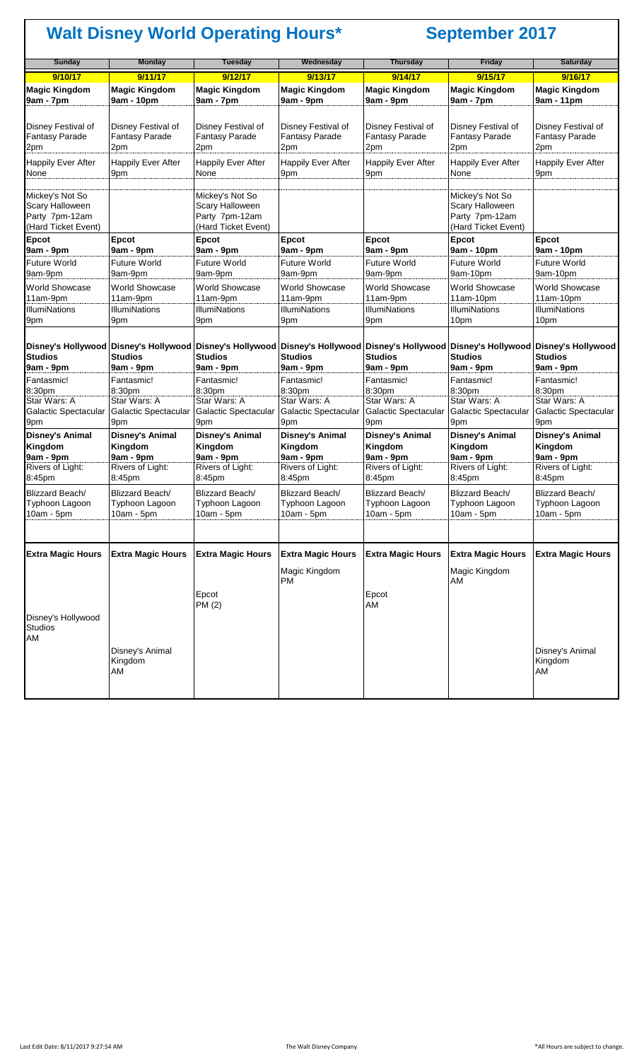| <b>Sunday</b>                                                                      | <b>Monday</b>                                                                                                                                                                                | <b>Tuesday</b>                                                              | Wednesday                                          | <b>Thursday</b>                                    | <b>Friday</b>                                                                      | <b>Saturday</b>                                    |
|------------------------------------------------------------------------------------|----------------------------------------------------------------------------------------------------------------------------------------------------------------------------------------------|-----------------------------------------------------------------------------|----------------------------------------------------|----------------------------------------------------|------------------------------------------------------------------------------------|----------------------------------------------------|
| 9/10/17                                                                            | 9/11/17                                                                                                                                                                                      | 9/12/17                                                                     | 9/13/17                                            | 9/14/17                                            | 9/15/17                                                                            | 9/16/17                                            |
| <b>Magic Kingdom</b><br>9am - 7pm                                                  | <b>Magic Kingdom</b><br>9am - 10pm                                                                                                                                                           | <b>Magic Kingdom</b><br>9am - 7pm                                           | <b>Magic Kingdom</b><br>9am - 9pm                  | <b>Magic Kingdom</b><br>9am - 9pm                  | <b>Magic Kingdom</b><br>9am - 7pm                                                  | <b>Magic Kingdom</b><br>9am - 11pm                 |
| <b>Disney Festival of</b><br><b>Fantasy Parade</b><br>2pm                          | Disney Festival of<br><b>Fantasy Parade</b><br>2pm                                                                                                                                           | Disney Festival of<br><b>Fantasy Parade</b><br>2pm                          | Disney Festival of<br><b>Fantasy Parade</b><br>2pm | Disney Festival of<br><b>Fantasy Parade</b><br>2pm | Disney Festival of<br><b>Fantasy Parade</b><br>2pm                                 | Disney Festival of<br><b>Fantasy Parade</b><br>2pm |
| <b>Happily Ever After</b><br>None                                                  | <b>Happily Ever After</b><br>9pm                                                                                                                                                             | <b>Happily Ever After</b><br>None                                           | <b>Happily Ever After</b><br>9pm                   | <b>Happily Ever After</b><br>9pm                   | <b>Happily Ever After</b><br>None                                                  | <b>Happily Ever After</b><br>9pm                   |
| Mickey's Not So<br><b>Scary Halloween</b><br>Party 7pm-12am<br>(Hard Ticket Event) |                                                                                                                                                                                              | Mickey's Not So<br>Scary Halloween<br>Party 7pm-12am<br>(Hard Ticket Event) |                                                    |                                                    | Mickey's Not So<br><b>Scary Halloween</b><br>Party 7pm-12am<br>(Hard Ticket Event) |                                                    |
| <b>Epcot</b><br>9am - 9pm                                                          | <b>Epcot</b><br>9am - 9pm                                                                                                                                                                    | Epcot<br>9am - 9pm                                                          | <b>Epcot</b><br>$9am - 9pm$                        | Epcot<br>9am - 9pm                                 | <b>Epcot</b><br>9am - 10pm                                                         | <b>Epcot</b><br>9am - 10pm                         |
| <b>Future World</b>                                                                | <b>Future World</b>                                                                                                                                                                          | <b>Future World</b>                                                         | <b>Future World</b>                                | <b>Future World</b>                                | <b>Future World</b>                                                                | <b>Future World</b>                                |
| 9am-9pm                                                                            | 9am-9pm                                                                                                                                                                                      | 9am-9pm                                                                     | 9am-9pm                                            | 9am-9pm                                            | 9am-10pm                                                                           | 9am-10pm                                           |
| <b>World Showcase</b><br>11am-9pm                                                  | <b>World Showcase</b><br>11am-9pm                                                                                                                                                            | <b>World Showcase</b><br>11am-9pm                                           | <b>World Showcase</b><br>11am-9pm                  | <b>World Showcase</b><br>11am-9pm                  | <b>World Showcase</b><br>$11am-10pm$                                               | <b>World Showcase</b><br>$11am-10pm$               |
| <b>IllumiNations</b><br>9pm                                                        | <b>IllumiNations</b><br>9pm                                                                                                                                                                  | <b>IllumiNations</b><br>9pm                                                 | <b>IllumiNations</b><br>9pm                        | <b>IllumiNations</b><br>9pm                        | <b>IllumiNations</b><br>10pm                                                       | <b>IllumiNations</b><br>10pm                       |
| <b>Studios</b>                                                                     | Disney's Hollywood Disney's Hollywood Disney's Hollywood Disney's Hollywood Disney's Hollywood Disney's Hollywood Disney's Hollywood Disney's Hollywood Disney's Hollywood<br><b>Studios</b> | <b>Studios</b>                                                              | <b>Studios</b>                                     | <b>Studios</b>                                     | <b>Studios</b>                                                                     | <b>Studios</b>                                     |
| 9am - 9pm                                                                          | 9am - 9pm                                                                                                                                                                                    | 9am - 9pm                                                                   | $9am - 9pm$                                        | 9am - 9pm                                          | 9am - 9pm                                                                          | 9am - 9pm<br>Fantasmic!                            |
| Fantasmic!<br>8:30pm                                                               | Fantasmic!<br>8:30pm                                                                                                                                                                         | Fantasmic!<br>8:30pm                                                        | Fantasmic!<br>8:30pm                               | Fantasmic!<br>8:30pm                               | Fantasmic!<br>8:30pm                                                               | 8:30pm                                             |
| Star Wars: A                                                                       | Star Wars: A                                                                                                                                                                                 | Star Wars: A                                                                | Star Wars: A                                       | Star Wars: A                                       | Star Wars: A                                                                       | Star Wars: A                                       |
| Galactic Spectacular<br>9pm                                                        | Galactic Spectacular<br>9pm                                                                                                                                                                  | Galactic Spectacular<br>9pm                                                 | Galactic Spectacular<br>9pm                        | Galactic Spectacular<br>9pm                        | Galactic Spectacular<br>9pm                                                        | Galactic Spectacular<br>9pm                        |
| <b>Disney's Animal</b><br>Kingdom                                                  | <b>Disney's Animal</b><br>Kingdom                                                                                                                                                            | <b>Disney's Animal</b><br>Kingdom                                           | <b>Disney's Animal</b><br>Kingdom                  | <b>Disney's Animal</b><br>Kingdom                  | <b>Disney's Animal</b><br>Kingdom                                                  | <b>Disney's Animal</b><br>Kingdom                  |
| 9am - 9pm<br>Rivers of Light:                                                      | 9am - 9pm<br>Rivers of Light:                                                                                                                                                                | 9am - 9pm<br>Rivers of Light:                                               | $9am - 9pm$<br>Rivers of Light:                    | 9am - 9pm<br>Rivers of Light:                      | 9am - 9pm<br>Rivers of Light:                                                      | 9am - 9pm<br>Rivers of Light:                      |
| 8:45pm                                                                             | 8:45pm                                                                                                                                                                                       | 8:45pm                                                                      | 8:45pm                                             | 8:45pm                                             | 8:45pm                                                                             | 8:45pm                                             |
| <b>Blizzard Beach/</b>                                                             | Blizzard Beach/                                                                                                                                                                              | Blizzard Beach/                                                             | Blizzard Beach/                                    | <b>Blizzard Beach/</b>                             | Blizzard Beach/                                                                    | Blizzard Beach/                                    |
| Typhoon Lagoon                                                                     | Typhoon Lagoon                                                                                                                                                                               | Typhoon Lagoon                                                              | <b>Typhoon Lagoon</b>                              | Typhoon Lagoon                                     | Typhoon Lagoon                                                                     | Typhoon Lagoon                                     |
| $10am - 5pm$                                                                       | $10am - 5pm$                                                                                                                                                                                 | $10am - 5pm$                                                                | $10am - 5pm$                                       | $10am - 5pm$                                       | $10am - 5pm$                                                                       | $10am - 5pm$                                       |
| <b>Extra Magic Hours</b>                                                           | <b>Extra Magic Hours</b>                                                                                                                                                                     | <b>Extra Magic Hours</b>                                                    | <b>Extra Magic Hours</b>                           | <b>Extra Magic Hours</b>                           | <b>Extra Magic Hours</b>                                                           | <b>Extra Magic Hours</b>                           |
|                                                                                    |                                                                                                                                                                                              | Epcot                                                                       | Magic Kingdom<br><b>PM</b>                         | Epcot                                              | Magic Kingdom<br>AM                                                                |                                                    |
| Disney's Hollywood<br><b>Studios</b><br>AM                                         |                                                                                                                                                                                              | PM (2)                                                                      |                                                    | AM                                                 |                                                                                    |                                                    |
|                                                                                    | Disney's Animal<br>Kingdom<br>AM                                                                                                                                                             |                                                                             |                                                    |                                                    |                                                                                    | Disney's Animal<br>Kingdom<br>AM                   |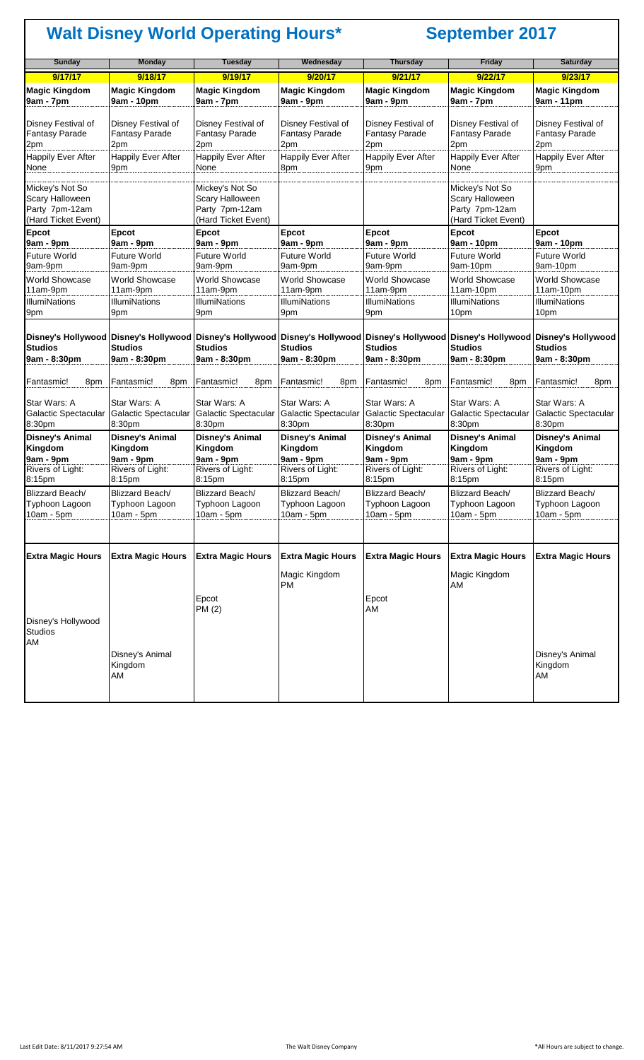| <b>Sunday</b>                                               | <b>Monday</b>                                      | <b>Tuesday</b>                                            | Wednesday                                                 | <b>Thursday</b>                                                                                                                                                                  | <b>Friday</b>                                        | <b>Saturday</b>                                            |
|-------------------------------------------------------------|----------------------------------------------------|-----------------------------------------------------------|-----------------------------------------------------------|----------------------------------------------------------------------------------------------------------------------------------------------------------------------------------|------------------------------------------------------|------------------------------------------------------------|
| 9/17/17                                                     | 9/18/17                                            | 9/19/17                                                   | 9/20/17                                                   | 9/21/17                                                                                                                                                                          | 9/22/17                                              | 9/23/17                                                    |
| <b>Magic Kingdom</b><br>9am - 7pm                           | <b>Magic Kingdom</b><br>9am - 10pm                 | <b>Magic Kingdom</b><br>9am - 7pm                         | <b>Magic Kingdom</b><br>9am - 9pm                         | <b>Magic Kingdom</b><br>9am - 9pm                                                                                                                                                | <b>Magic Kingdom</b><br>9am - 7pm                    | <b>Magic Kingdom</b><br>9am - 11pm                         |
| <b>Disney Festival of</b><br><b>Fantasy Parade</b><br>2pm   | Disney Festival of<br><b>Fantasy Parade</b><br>2pm | Disney Festival of<br><b>Fantasy Parade</b><br>2pm        | Disney Festival of<br><b>Fantasy Parade</b><br>2pm        | Disney Festival of<br><b>Fantasy Parade</b><br>2pm                                                                                                                               | Disney Festival of<br>Fantasy Parade<br>2pm          | Disney Festival of<br><b>Fantasy Parade</b><br>2pm         |
| <b>Happily Ever After</b><br>None                           | <b>Happily Ever After</b><br>9pm                   | Happily Ever After<br>None                                | <b>Happily Ever After</b><br>8pm                          | <b>Happily Ever After</b><br>9pm                                                                                                                                                 | <b>Happily Ever After</b><br>None                    | Happily Ever After<br>9pm                                  |
| Mickey's Not So<br><b>Scary Halloween</b><br>Party 7pm-12am |                                                    | Mickey's Not So<br>Scary Halloween<br>Party 7pm-12am      |                                                           |                                                                                                                                                                                  | Mickey's Not So<br>Scary Halloween<br>Party 7pm-12am |                                                            |
| (Hard Ticket Event)                                         |                                                    | (Hard Ticket Event)                                       |                                                           |                                                                                                                                                                                  | (Hard Ticket Event)                                  |                                                            |
| <b>Epcot</b><br>9am - 9pm                                   | <b>Epcot</b><br>9am - 9pm                          | Epcot<br>9am - 9pm                                        | Epcot<br>9am - 9pm                                        | <b>Epcot</b><br>9am - 9pm                                                                                                                                                        | Epcot<br>9am - 10pm                                  | Epcot<br>9am - 10pm                                        |
| <b>Future World</b><br>9am-9pm                              | <b>Future World</b><br>9am-9pm                     | <b>Future World</b><br>9am-9pm                            | <b>Future World</b><br>9am-9pm                            | <b>Future World</b><br>9am-9pm                                                                                                                                                   | <b>Future World</b><br>9am-10pm                      | <b>Future World</b><br>9am-10pm                            |
| <b>World Showcase</b><br>11am-9pm<br><b>IllumiNations</b>   | World Showcase<br>11am-9pm<br><b>IllumiNations</b> | <b>World Showcase</b><br>11am-9pm<br><b>IllumiNations</b> | <b>World Showcase</b><br>11am-9pm<br><b>IllumiNations</b> | World Showcase<br>11am-9pm<br><b>IllumiNations</b>                                                                                                                               | World Showcase<br>11am-10pm<br><b>IllumiNations</b>  | <b>World Showcase</b><br>11am-10pm<br><b>IllumiNations</b> |
| 9pm                                                         | 9pm                                                | 9pm                                                       | 9pm                                                       | 9pm                                                                                                                                                                              | 10pm                                                 | 10pm                                                       |
| <b>Studios</b>                                              | <b>Studios</b>                                     | <b>Studios</b>                                            | <b>Studios</b>                                            | Disney's Hollywood  Disney's Hollywood  Disney's Hollywood  Disney's Hollywood  Disney's Hollywood  Disney's Hollywood  Disney's Hollywood  Disney's Hollywood<br><b>Studios</b> | <b>Studios</b>                                       | <b>Studios</b>                                             |
| 9am - 8:30pm                                                | 9am - 8:30pm                                       | 9am - 8:30pm                                              | 9am - 8:30pm                                              | 9am - 8:30pm                                                                                                                                                                     | 9am - 8:30pm                                         | 9am - 8:30pm                                               |
| Fantasmic!<br>8pm                                           | Fantasmic!<br>8pm                                  | Fantasmic!<br>8pm                                         | Fantasmic!<br>8pm                                         | Fantasmic!<br>8pm                                                                                                                                                                | Fantasmic!<br>8pm                                    | Fantasmic!<br>8pm                                          |
| Star Wars: A<br>Galactic Spectacular<br>8:30pm              | Star Wars: A<br>Galactic Spectacular<br>8:30pm     | Star Wars: A<br>Galactic Spectacular<br>8:30pm            | Star Wars: A<br>Galactic Spectacular<br>8:30pm            | Star Wars: A<br>Galactic Spectacular<br>8:30pm                                                                                                                                   | Star Wars: A<br>Galactic Spectacular<br>8:30pm       | Star Wars: A<br>Galactic Spectacular<br>8:30pm             |
| <b>Disney's Animal</b><br>Kingdom<br>9am - 9pm              | <b>Disney's Animal</b><br>Kingdom<br>9am - 9pm     | <b>Disney's Animal</b><br>Kingdom<br>9am - 9pm            | <b>Disney's Animal</b><br>Kingdom<br>9am - 9pm            | <b>Disney's Animal</b><br>Kingdom<br>9am - 9pm                                                                                                                                   | <b>Disney's Animal</b><br>Kingdom<br>9am - 9pm       | Disney's Animal<br>Kingdom<br>9am - 9pm                    |
| Rivers of Light:<br>8:15pm                                  | Rivers of Light:<br>8:15pm                         | Rivers of Light:<br>8:15pm                                | Rivers of Light:<br>8:15pm                                | Rivers of Light:<br>8:15pm                                                                                                                                                       | Rivers of Light:<br>8:15pm                           | <b>Rivers of Light:</b><br>8:15pm                          |
| Blizzard Beach/<br>Typhoon Lagoon<br>$10am - 5pm$           | Blizzard Beach/<br>Typhoon Lagoon<br>$10am - 5pm$  | Blizzard Beach/<br>Typhoon Lagoon<br>$10am - 5pm$         | Blizzard Beach/<br>Typhoon Lagoon<br>$10am - 5pm$         | Blizzard Beach/<br>Typhoon Lagoon<br>10am - 5pm                                                                                                                                  | Blizzard Beach/<br>Typhoon Lagoon<br>$10am - 5pm$    | Blizzard Beach/<br>Typhoon Lagoon<br>$10am - 5pm$          |
|                                                             |                                                    |                                                           |                                                           |                                                                                                                                                                                  |                                                      |                                                            |
| <b>Extra Magic Hours</b>                                    | <b>Extra Magic Hours</b>                           | <b>Extra Magic Hours</b>                                  | <b>Extra Magic Hours</b>                                  | <b>Extra Magic Hours</b>                                                                                                                                                         | <b>Extra Magic Hours</b>                             | <b>Extra Magic Hours</b>                                   |
|                                                             |                                                    | Epcot<br>PM (2)                                           | Magic Kingdom<br><b>PM</b>                                | Epcot<br>AM                                                                                                                                                                      | Magic Kingdom<br>AM                                  |                                                            |
| Disney's Hollywood<br><b>Studios</b><br>AM                  |                                                    |                                                           |                                                           |                                                                                                                                                                                  |                                                      |                                                            |
|                                                             | Disney's Animal<br>Kingdom<br>AM                   |                                                           |                                                           |                                                                                                                                                                                  |                                                      | Disney's Animal<br>Kingdom<br>AM                           |